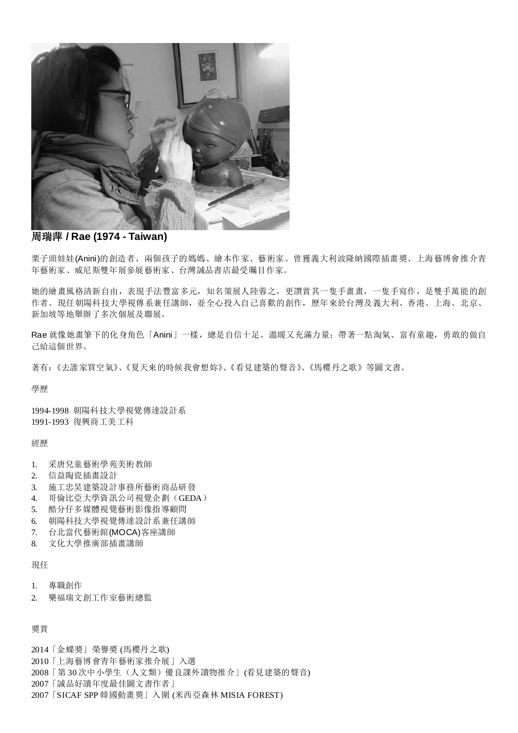

### 周瑞萍 **/ Rae (1974 - Taiwan)**

栗子頭娃娃(Anini)的創造者、兩個孩子的媽媽、繪本作家、藝術家。曾獲義大利波隆納國際插畫獎、上海藝博會推介青 年藝術家、威尼斯雙年展參展藝術家、台灣誠品書店最受矚目作家。

她的繪畫風格清新自由,表現手法豐富多元,知名策展人陸蓉之,更讚賞其一隻手畫畫,一隻手寫作,是雙手萬能的創 作者。現任朝陽科技大學視傳系兼任講師,並全心投入自己喜歡的創作,歷年來於台灣及義大利、香港、上海、北京、 新加坡等地舉辦了多次個展及聯展。

Rae 就像她畫筆下的化身角色「Anini」一樣, 總是自信十足、溫暖又充滿力量; 帶著一點淘氣、富有童趣, 勇敢的做自 己給這個世界。

著有:《去誰家買空氣》、《夏天來的時候我會想妳》、《看見建築的聲音》、《馬櫻丹之歌》等圖文書。

學歷

1994-1998 朝陽科技大學視覺傳達設計系 1991-1993 復興商工美工科

經歷

- 1. 采唐兒童藝術學苑美術教師
- 2. 信益陶瓷插畫設計
- 3. 施工忠昊建築設計事務所藝術商品研發
- 4. 哥倫比亞大學資訊公司視覺企劃(GEDA)
- 5. 酷分仔多媒體視覺藝術影像指導顧問
- 6. 朝陽科技大學視覺傳達設計系兼任講師
- 7. 台北當代藝術館(MOCA)客座講師
- 8. 文化大學推廣部插畫講師

現任

- 1. 專職創作
- 2. 樂福瑞文創工作室藝術總監

獎賞

- 2014「金蝶獎」榮譽獎 (馬櫻丹之歌)
- 2010「上海藝博會青年藝術家推介展」入選
- 2008「第 30 次中小學生(人文類)優良課外讀物推介」(看見建築的聲音)
- 2007「誠品好讀年度最佳圖文書作者」
- 2007「SICAF SPP 韓國動畫奬」入圍 (米西亞森林 MISIA FOREST)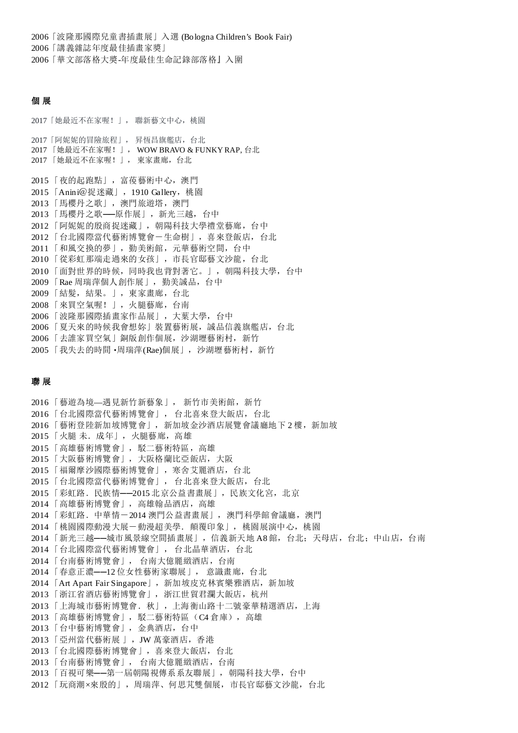「波隆那國際兒童書插畫展」入選 (Bologna Children's Book Fair) 「講義雜誌年度最佳插畫家獎」 「華文部落格大獎-年度最佳生命記錄部落格』入圍

### 個 展

「她最近不在家喔!」, 聯新藝文中心,桃園 「阿妮妮的冒險旅程」, 昇恆昌旗艦店,台北 「她最近不在家喔!」, WOW BRAVO & FUNKY RAP, 台北 「她最近不在家喔!」, 東家畫廊,台北 「夜的起跑點」,富葰藝術中心,澳門 2015 「Anini@捉迷藏」, 1910 Gallery, 桃園 「馬櫻丹之歌」,澳門旅遊塔,澳門 「馬櫻丹之歌──原作展」,新光三越,台中 「阿妮妮的殷商捉迷藏」,朝陽科技大學禮堂藝廊,台中 「台北國際當代藝術博覽會-生命樹」,喜來登飯店,台北 「和風交換的夢」,勤美術館,元華藝術空間,台中 「從彩虹那端走過來的女孩」,市長官邸藝文沙龍,台北 「面對世界的時候,同時我也背對著它。」,朝陽科技大學,台中 「Rae 周瑞萍個人創作展」,勤美誠品,台中 「結髮,結果。」,東家畫廊,台北 「來買空氣喔!」,火腿藝廊,台南 「波隆那國際插畫家作品展」,大葉大學,台中 「夏天來的時候我會想妳」裝置藝術展,誠品信義旗艦店,台北 「去誰家買空氣」銅版創作個展,沙湖壢藝術村,新竹 「我失去的時間‧周瑞萍(Rae)個展」,沙湖壢藝術村,新竹

### 聯 展

 「藝遊為境—遇見新竹新藝象」, 新竹市美術館,新竹 「台北國際當代藝術博覽會」, 台北喜來登大飯店,台北 「藝術登陸新加坡博覽會」,新加坡金沙酒店展覽會議廳地下 2 樓,新加坡 「火腿 未.成年」,火腿藝廊,高雄 2015 「高雄藝術博覽會」,駁二藝術特區,高雄 「大阪藝術博覽會」,大阪格蘭比亞飯店,大阪 2015 「福爾摩沙國際藝術博覽會」, 寒舍艾麗酒店, 台北 「台北國際當代藝術博覽會」, 台北喜來登大飯店,台北 2015 「彩虹路. 民族情——2015 北京公益書畫展」,民族文化宮, 北京 「高雄藝術博覽會」,高雄翰品酒店,高雄 2014 「彩虹路.中華情-2014 澳門公益書畫展」,澳門科學館會議廳,澳門 2014 「桃園國際動漫大展-動漫超美學. 顛覆印象」, 桃園展演中心, 桃園 2014 「新光三越——城市風景線空間插畫展」,信義新天地 A8 館, 台北; 天母店, 台北; 中山店, 台南 「台北國際當代藝術博覽會」, 台北晶華酒店,台北 「台南藝術博覽會」, 台南大億麗緻酒店,台南 「春意正濃──12 位女性藝術家聯展」, 意識畫廊,台北 「Art Apart Fair Singapore」,新加坡皮克林賓樂雅酒店,新加坡 「浙江省酒店藝術博覽會」,浙江世貿君瀾大飯店,杭州 「上海城市藝術博覽會.秋」,上海衡山路十二號豪華精選酒店,上海 2013 「高雄藝術博覽會」, 駁二藝術特區 (C4 倉庫), 高雄 「台中藝術博覽會」,金典酒店,台中 「亞州當代藝術展 」,JW 萬豪酒店,香港 「台北國際藝術博覽會」,喜來登大飯店,台北 「台南藝術博覽會」, 台南大億麗緻酒店,台南 2013 「百視可樂 --- 第一屆朝陽視傳系系友聯展」, 朝陽科技大學, 台中 「玩商潮×來殷的」,周瑞萍、何思芃雙個展,市長官邸藝文沙龍,台北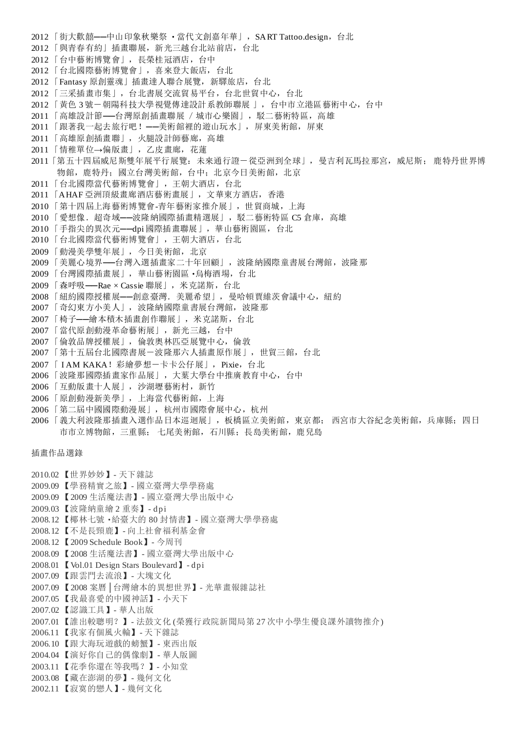- 2012 「街大歡囍——中山印象秋樂祭 · 當代文創嘉年華」, SART Tattoo.design, 台北
- 2012 「與青春有約」插畫聯展,新光三越台北站前店,台北
- 2012 「台中藝術博覽會」,長榮桂冠酒店,台中
- 2012 「台北國際藝術博覽會」,喜來登大飯店,台北
- 2012 「Fantasy 原創靈魂」插畫達人聯合展覽,新驛旅店,台北
- 2012 「三采插畫市集」,台北書展交流貿易平台,台北世貿中心,台北
- 2012 「黃色 3 號-朝陽科技大學視覺傳達設計系教師聯展 」,台中市立港區 藝術中心, 台中
- 2011 「高雄設計節––台灣原創插畫聯展 / 城市心樂園」,駁二藝術特區, 高雄
- 2011 「跟著我一起去旅行吧! --美術館裡的遊山玩水」, 屏東美術館, 屏東
- 2011 「高雄原創插畫聯」,火腿設計師藝廊,高雄
- 2011 「情稚單位→偏版畫」,乙皮畫廊,花蓮
- 2011「第五十四屆威尼斯雙年展平行展覽:未來通行證一從亞洲到全球」,曼吉利瓦馬拉那宮,威尼斯; 鹿特丹世界博 物館, 鹿特丹; 國立台灣美術館, 台中; 北京今日美術館, 北京
- 2011 「台北國際當代藝術博覽會」,王朝大酒店,台北
- 2011 「AHAF 亞洲頂級畫廊酒店藝術畫展」,文華東方酒店,香港
- 2010 「第十四屆上海藝術博覽會-青年藝術家推介展」,世貿商城,上海
- 2010 「愛想像. 超奇域——波隆納國際插畫精選展」,駁二藝術特區 C5 倉庫,高雄
- 2010 「手指尖的異次元──dpi 國際插畫聯展」,華山藝術園區,台北
- 2010 「台北國際當代藝術博覽會」,王朝大酒店,台北
- 2009 「動漫美學雙年展」,今日美術館,北京
- 2009 「美麗心境界––台灣入選插畫家二十年回顧」, 波隆納國際童書展台灣館, 波隆那
- 2009 「台灣國際插畫展」,華山藝術園區‧烏梅酒場,台北
- 2009 「森呼吸––Rae × Cassie 聯展」,米克諾斯,台北
- 2008 「紐約國際授權展──創意臺灣.美麗希望」,曼哈頓賈維茨會議中心,紐約
- 2007 「奇幻東方小美人」, 波隆納國際童書展台灣館, 波隆那
- 2007 「椅子──繪本積木插畫創作聯展」,米克諾斯,台北
- 2007 「當代原創動漫革命藝術展」,新光三越,台中
- 2007 「倫敦品牌授權展」,倫敦奧林匹亞展覽中心,倫敦
- 2007 「第十五屆台北國際書展-波隆那六人插畫原作展」,世貿三館, 台北
- 2007 「 I AM KAKA! 彩繪夢想一卡卡公仔展」, Pixie, 台北
- 2006 「波隆那國際插畫家作品展」,大葉大學台中推廣教育中心,台中
- 2006 「互動版畫十人展」,沙湖壢藝術村,新竹
- 2006 「原創動漫新美學」,上海當代藝術館,上海
- 2006 「第二屆中國國際動漫展」, 杭州市國際會展中心, 杭州
- 2006 「義大利波隆那插畫入選作品日本巡迴展」,板橋區立美術館,東京都; 西宮市大谷紀念美術館,兵庫縣; 四日 市市立博物館,三重縣; 七尾美術館,石川縣;長島美術館,鹿兒島

插畫作品選錄

- 2010.02 【世界妙妙】- 天下雜誌
- 2009.09 【學務精實之旅】- 國立臺灣大學學務處
- 2009.09 【2009 生活魔法書】- 國立臺灣大學出版中心
- 2009.03 【波隆納童繪 2 重奏】- dpi
- 2008.12 【椰林七號‧給臺大的 80 封情書】- 國立臺灣大學學務處
- 2008.12 【不是長頸鹿】- 向上社會福利基金會
- 2008.12 【2009 Schedule Book】- 今周刊
- 2008.09 【2008 生活魔法書】- 國立臺灣大學出版中心
- 2008.01 【Vol.01 Design Stars Boulevard】- dpi
- 2007.09 【跟雲門去流浪】- 大塊文化
- 2007.09 【2008 案曆│台灣繪本的異想世界】- 光華畫報雜誌社
- 2007.05 【我最喜愛的中國神話】- 小天下
- 2007.02 【認識工具】- 華人出版
- 2007.01 【誰出較聰明?】- 法鼓文化 (榮獲行政院新聞局第 27 次中小學生優良課外讀物推介)
- 2006.11 【我家有個風火輪】- 天下雜誌
- 2006.10 【跟大海玩遊戲的螃蟹】- 東西出版
- 2004.04 【演好你自己的偶像劇】- 華人版圖
- 2003.11 【花季你還在等我嗎?】- 小知堂
- 2003.08 【藏在澎湖的夢】- 幾何文化
- 2002.11 【寂寞的戀人】- 幾何文化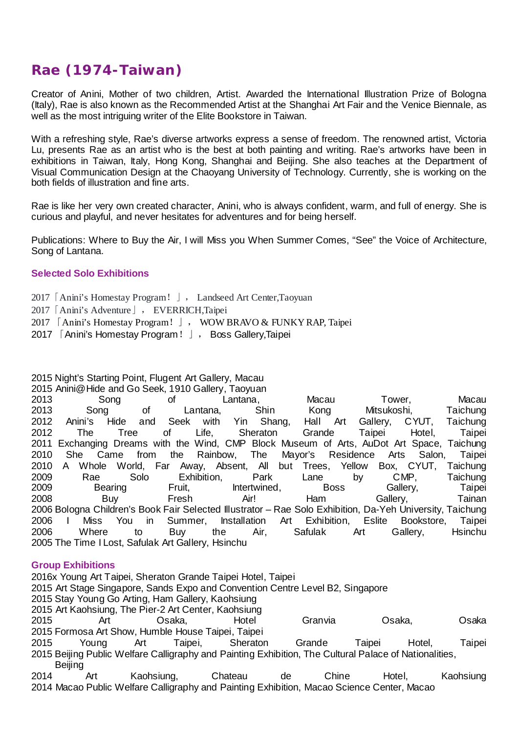# **Rae (1974-Taiwan)**

Creator of Anini, Mother of two children, Artist. Awarded the International Illustration Prize of Bologna (Italy), Rae is also known as the Recommended Artist at the Shanghai Art Fair and the Venice Biennale, as well as the most intriguing writer of the Elite Bookstore in Taiwan.

With a refreshing style, Rae's diverse artworks express a sense of freedom. The renowned artist, Victoria Lu, presents Rae as an artist who is the best at both painting and writing. Rae's artworks have been in exhibitions in Taiwan, Italy, Hong Kong, Shanghai and Beijing. She also teaches at the Department of Visual Communication Design at the Chaoyang University of Technology. Currently, she is working on the both fields of illustration and fine arts.

Rae is like her very own created character, Anini, who is always confident, warm, and full of energy. She is curious and playful, and never hesitates for adventures and for being herself.

Publications: Where to Buy the Air, I will Miss you When Summer Comes, "See" the Voice of Architecture, Song of Lantana.

# **Selected Solo Exhibitions**

2017「Anini's Homestay Program!」, Landseed Art Center,Taoyuan 2017「Anini's Adventure」, EVERRICH,Taipei 2017 「Anini's Homestay Program!」, WOW BRAVO & FUNKY RAP, Taipei

2017 「Anini's Homestay Program!」, Boss Gallery,Taipei

2015 Night's Starting Point, Flugent Art Gallery, Macau

2015 Anini@Hide and Go Seek, 1910 Gallery, Taoyuan

 Song of Lantana, Macau Tower, Macau Song of Lantana, Shin Kong Mitsukoshi, Taichung Anini's Hide and Seek with Yin Shang, Hall Art Gallery, CYUT, Taichung The Tree of Life, Sheraton Grande Taipei Hotel, Taipei 2011 Exchanging Dreams with the Wind, CMP Block Museum of Arts, AuDot Art Space, Taichung<br>2010 She Came from the Rainbow. The Mayor's Residence Arts Salon, Taipei She Came from the Rainbow, The Mayor's Residence Arts Salon, Taipei A Whole World, Far Away, Absent, All but Trees, Yellow Box, CYUT, Taichung Rae Solo Exhibition, Park Lane by CMP, Taichung 2009 Bearing Fruit, Intertwined, Boss Gallery, Taipei Buy Fresh Air! Ham Gallery, Tainan Bologna Children's Book Fair Selected Illustrator – Rae Solo Exhibition, Da-Yeh University, Taichung I Miss You in Summer, Installation Art Exhibition, Eslite Bookstore, Taipei Where to Buy the Air, Safulak Art Gallery, Hsinchu The Time I Lost, Safulak Art Gallery, Hsinchu

## **Group Exhibitions**

2016x Young Art Taipei, Sheraton Grande Taipei Hotel, Taipei Art Stage Singapore, Sands Expo and Convention Centre Level B2, Singapore Stay Young Go Arting, Ham Gallery, Kaohsiung Art Kaohsiung, The Pier-2 Art Center, Kaohsiung Art Osaka, Hotel Granvia Osaka, Osaka Formosa Art Show, Humble House Taipei, Taipei Young Art Taipei, Sheraton Grande Taipei Hotel, Taipei Beijing Public Welfare Calligraphy and Painting Exhibition, The Cultural Palace of Nationalities, **Beijing**  Art Kaohsiung, Chateau de Chine Hotel, Kaohsiung Macao Public Welfare Calligraphy and Painting Exhibition, Macao Science Center, Macao